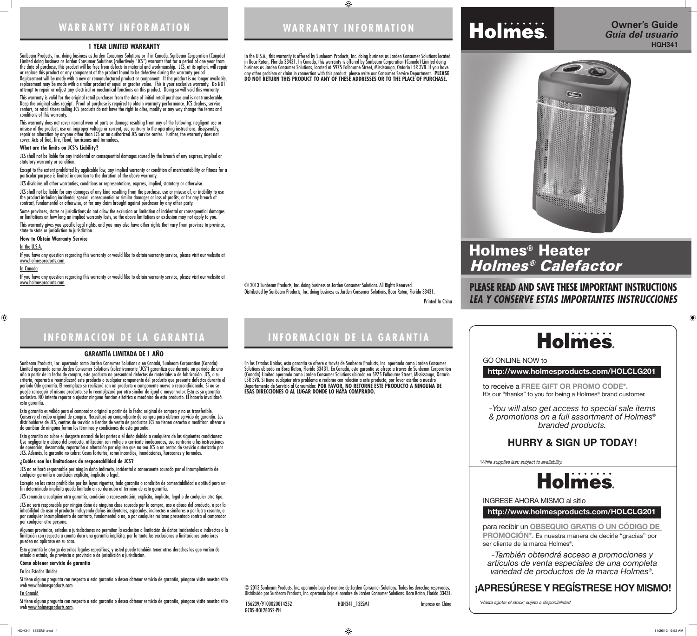## **WARRANTY INFORMATION WARRANTY INFORMATION**

Printed In China

## **INFORMACION DE LA GARANTIA INFORMACION DE LA GARANTIA**

156239/9100020014252 HQH341\_13ESM1 Impreso en China

GCDS-HOL28052-PH

#### **1 YEAR LIMITED WARRANTY**

Sunbeam Products, Inc. doing business as Jarden Consumer Solutions or if in Canada, Sunbeam Corporation (Canada) Limited doing business as Jarden Consumer Solutions (collectively "JCS") warrants that for a period of one year from the date of purchase, this product will be free from defects in material and workmanship. JCS, at its option, will repair or replace this product or any component of the product found to be defective during the warranty period. Replacement will be made with a new or remanufactured product or component. If the product is no longer available, replacement may be made with a similar product of equal or greater value. This is your exclusive warranty. Do NOT attempt to repair or adjust any electrical or mechanical functions on this product. Doing so will void this warranty.

This warranty is valid for the original retail purchaser from the date of initial retail purchase and is not transferable. Keep the original sales receipt. Proof of purchase is required to obtain warranty performance. JCS dealers, service centers, or retail stores selling JCS products do not have the right to alter, modify or any way change the terms and conditions of this warranty.

Some provinces, states or jurisdictions do not allow the exclusion or limitation of incidental or consequential damages or limitations on how long an implied warranty lasts, so the above limitations or exclusion may not apply to you. This warranty gives you specific legal rights, and you may also have other rights that vary from province to province, state to state or jurisdiction to jurisdiction.

This warranty does not cover normal wear of parts or damage resulting from any of the following: negligent use or misuse of the product, use on improper voltage or current, use contrary to the operating instructions, disassembly, repair or alteration by anyone other than JCS or an authorized JCS service center. Further, the warranty does not cover: Acts of God, fire, flood, hurricanes and tornadoes.

#### **What are the limits on JCS's Liability?**

JCS shall not be liable for any incidental or consequential damages caused by the breach of any express, implied or statutory warranty or condition.

Except to the extent prohibited by applicable law, any implied warranty or condition of merchantability or fitness for a particular purpose is limited in duration to the duration of the above warranty.

JCS disclaims all other warranties, conditions or representations, express, implied, statutory or otherwise.

JCS shall not be liable for any damages of any kind resulting from the purchase, use or misuse of, or inability to use the product including incidental, special, consequential or similar damages or loss of profits, or for any breach of contract, fundamental or otherwise, or for any claim brought against purchaser by any other party.

JCS no se hará responsable por ningún daño indirecto, incidental o consecuente causado por el incumplimiento de cualquier garantía o condición explícita, implícita o legal.

**How to Obtain Warranty Service**

#### In the U.S.A.

If you have any question regarding this warranty or would like to obtain warranty service, please visit our website at www.holmesproducts.com.

#### <u>In Canada</u>

 $\bigoplus$ 

Si tiene alguna pregunta con respecto a esta garantía o desea obtener servicio de garantía, póngase visite nuestro sitio web www.holmesproducts.com.

If you have any question regarding this warranty or would like to obtain warranty service, please visit our website at www.holmesproducts.com.

Si tiene alguna pregunta con respecto a esta garantía o desea obtener servicio de garantía, póngase visite nuestro sitio web www.holmesproducts.com.

#### **GARANTÍA LIMITADA DE 1 AÑO**

Sunbeam Products, Inc. operando como Jarden Consumer Solutions o en Canadá, Sunbeam Corporation (Canada) Limited operando como Jarden Consumer Solutions (colectivamente "JCS") garantiza que durante un período de uno año a partir de la fecha de compra, este producto no presentará defectos de materiales o de fabricación. JCS, a su criterio, reparará o reemplazará este producto o cualquier componente del producto que presente defectos durante el período 0de garantía. El reemplazo se realizará con un producto o componente nuevo o reacondicionado. Si no se puede conseguir el mismo producto, se lo reemplazará por otro similar de igual o mayor valor. Esta es su garantía exclusiva. NO intente reparar o ajustar ninguna función eléctrica o mecánica de este producto. El hacerlo invalidará esta garantía.

to receive a **FREE GIFT OR PROMO CODE\*.** It's our "thanks" to you for being a Holmes<sup>®</sup> brand customer.

# Holmes

Esta garantía es válida para el comprador original a partir de la fecha original de compra y no es transferible. Conserve el recibo original de compra. Necesitará un comprobante de compra para obtener servicio de garantía. Los distribuidores de JCS, centros de servicio o tiendas de venta de productos JCS no tienen derecho a modificar, alterar o de cambiar de ninguna forma los términos y condiciones de esta garantía.

Esta garantía no cubre el desgaste normal de las partes o el daño debido a cualquiera de las siguientes condiciones: Uso negligente o abuso del producto, utilización con voltaje o corriente inadecuados, uso contrario a las instrucciones de operación, desarmado, reparación o alteración por alguien que no sea JCS o un centro de servicio autorizado por JCS. Además, la garantía no cubre: Casos fortuitos, como incendios, inundaciones, huracanes y tornados.

#### **¿Cuáles son las limitaciones de responsabilidad de JCS?**

Excepto en los casos prohibidos por las leyes vigentes, toda garantía o condición de comerciabilidad o aptitud para un fin determinado implícita queda limitada en su duración al término de esta garantía.

JCS renuncia a cualquier otra garantía, condición o representación, explícita, implícita, legal o de cualquier otro tipo.

JCS no será responsable por ningún daño de ninguna clase causado por la compra, uso o abuso del producto, o por la inhabilidad de usar el producto incluyendo daños incidentales, especiales, indirectos o similares o por lucro cesante, o por cualquier incumplimiento de contrato, fundamental o no, o por cualquier reclamo presentado contra el comprador por cualquier otra persona.

Algunas provincias, estados o jurisdicciones no permiten la exclusión o limitación de daños incidentales o indirectos o la limitación con respecto a cuanto dura una garantía implícita, por lo tanto las exclusiones o limitaciones anteriores pueden no aplicarse en su caso.

Esta garantía le otorga derechos legales específicos, y usted puede también tener otros derechos los que varían de estado a estado, de provincia a provincia o de jurisdicción a jurisdicción.

#### **Cómo obtener servicio de garantía**

#### En los Estados Unidos

#### En Canadá

In the U.S.A., this warranty is offered by Sunbeam Products, Inc. doing business as Jarden Consumer Solutions located in Boca Raton, Florida 33431. In Canada, this warranty is offered by Sunbeam Corporation (Canada) Limited doing business as Jarden Consumer Solutions, located at 5975 Falbourne Street, Mississauga, Ontario L5R 3V8. If you have any other problem or claim in connection with this product, please write our Consumer Service Department. **PLEASE DO NOT RETURN THIS PRODUCT TO ANY OF THESE ADDRESSES OR TO THE PLACE OF PURCHASE.** 

 $\bigoplus$ 

En los Estados Unidos, esta garantía se ofrece a través de Sunbeam Products, Inc. operando como Jarden Consumer Solutions ubicado en Boca Raton, Florida 33431. En Canadá, esta garantía se ofrece a través de Sunbeam Corporation (Canada) Limited operando como Jarden Consumer Solutions ubicado en 5975 Falbourne Street, Mississauga, Ontario L5R 3V8. Si tiene cualquier otro problema o reclamo con relación a este producto, por favor escriba a nuestro Departamento de Servicio al Consumidor. **POR FAVOR, NO RETORNE ESTE PRODUCTO A NINGUNA DE ESAS DIRECCIONES O AL LUGAR DONDE LO HAYA COMPRADO.** 

© 2013 Sunbeam Products, Inc. doing business as Jarden Consumer Solutions. All Rights Reserved. Distributed by Sunbeam Products, Inc. doing business as Jarden Consumer Solutions, Boca Raton, Florida 33431.

© 2013 Sunbeam Products, Inc. operando bajo el nombre de Jarden Consumer Solutions. Todos los derechos reservados. Distribuido por Sunbeam Products, Inc. operando bajo el nombre de Jarden Consumer Solutions, Boca Raton, Florida 33431.

## **PLEASE READ AND SAVE THESE IMPORTANT INSTRUCTIONS** *LEA Y CONSERVE ESTAS IMPORTANTES INSTRUCCIONES*





## **http://www.holmesproducts.com/HOLCLG201**

**http://www.holmesproducts.com/HOLCLG201**

para recibir un **OBSEQUIO GRATIS O UN CÓDIGO DE PROMOCIÓN\*.** Es nuestra manera de decirle "gracias" por ser cliente de la marca Holmes®.

GO ONLINE NOW to

INGRESE AHORA MISMO al sitio

*-You will also get access to special sale items & promotions on a full assortment of Holmes® branded products.*

*-También obtendrá acceso a promociones y artículos de venta especiales de una completa variedad de productos de la marca Holmes®.*

\*While supplies last; subject to availability.





\*Hasta agotar el stock; sujeto a disponibilidad

 $\bigoplus$ 

# **HURRY & SIGN UP TODAY!**

## **¡APRESÚRESE Y REGÍSTRESE HOY MISMO!**

# Holmes® Heater Holmes® Calefactor

# Holmes.